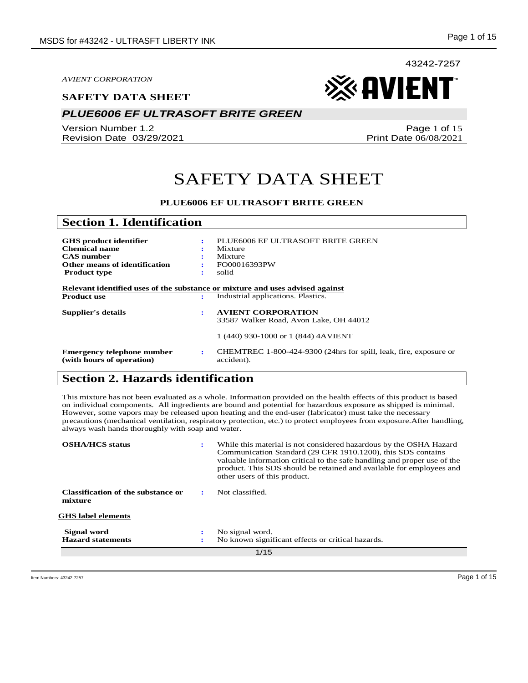#### **SAFETY DATA SHEET**

## *PLUE6006 EF ULTRASOFT BRITE GREEN*

Version Number 1.2 Revision Date 03/29/2021

Page 1 of 15 Print Date 06/08/2021

※AVIENT

43242-7257

## SAFETY DATA SHEET

#### **PLUE6006 EF ULTRASOFT BRITE GREEN**

| <b>Section 1. Identification</b>                                                                                                   |        |                                                                                                            |
|------------------------------------------------------------------------------------------------------------------------------------|--------|------------------------------------------------------------------------------------------------------------|
| <b>GHS</b> product identifier<br><b>Chemical name</b><br><b>CAS</b> number<br>Other means of identification<br><b>Product type</b> | ÷<br>÷ | PLUE6006 EF ULTRASOFT BRITE GREEN<br>Mixture<br>Mixture<br>FO00016393PW<br>solid                           |
| Relevant identified uses of the substance or mixture and uses advised against<br><b>Product use</b>                                | ÷      | Industrial applications. Plastics.                                                                         |
| <b>Supplier's details</b>                                                                                                          | ÷      | <b>AVIENT CORPORATION</b><br>33587 Walker Road, Avon Lake, OH 44012<br>1 (440) 930-1000 or 1 (844) 4AVIENT |
| Emergency telephone number<br>(with hours of operation)                                                                            | ÷      | CHEMTREC 1-800-424-9300 (24hrs for spill, leak, fire, exposure or<br>accident).                            |

## **Section 2. Hazards identification**

This mixture has not been evaluated as a whole. Information provided on the health effects of this product is based on individual components. All ingredients are bound and potential for hazardous exposure as shipped is minimal. However, some vapors may be released upon heating and the end-user (fabricator) must take the necessary precautions (mechanical ventilation, respiratory protection, etc.) to protect employees from exposure.After handling, always wash hands thoroughly with soap and water.

| <b>OSHA/HCS</b> status                        | ÷ | While this material is not considered hazardous by the OSHA Hazard<br>Communication Standard (29 CFR 1910.1200), this SDS contains<br>valuable information critical to the safe handling and proper use of the<br>product. This SDS should be retained and available for employees and<br>other users of this product. |
|-----------------------------------------------|---|------------------------------------------------------------------------------------------------------------------------------------------------------------------------------------------------------------------------------------------------------------------------------------------------------------------------|
| Classification of the substance or<br>mixture |   | Not classified.                                                                                                                                                                                                                                                                                                        |
| <b>GHS</b> label elements                     |   |                                                                                                                                                                                                                                                                                                                        |
| Signal word                                   |   | No signal word.                                                                                                                                                                                                                                                                                                        |
| <b>Hazard statements</b>                      |   | No known significant effects or critical hazards.                                                                                                                                                                                                                                                                      |
| 1/15                                          |   |                                                                                                                                                                                                                                                                                                                        |

Item Numbers: 43242-7257 Page 1 of 15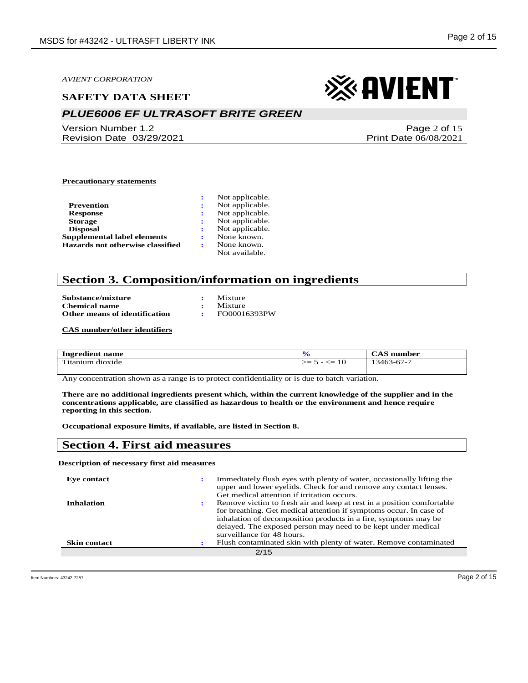#### **SAFETY DATA SHEET**

## *PLUE6006 EF ULTRASOFT BRITE GREEN*

Version Number 1.2 Revision Date 03/29/2021

# ※ AVIENT

Page 2 of 15 Print Date 06/08/2021

#### **Precautionary statements**

|                                    | Not applicable. |
|------------------------------------|-----------------|
| Prevention                         | Not applicable. |
| <b>Response</b>                    | Not applicable. |
| <b>Storage</b>                     | Not applicable. |
| <b>Disposal</b>                    | Not applicable. |
| <b>Supplemental label elements</b> | None known.     |
| Hazards not otherwise classified   | None known.     |
|                                    | Not available.  |

### **Section 3. Composition/information on ingredients**

| Substance/mixture                    | $:$ Mixture     |
|--------------------------------------|-----------------|
| <b>Chemical name</b>                 | $\cdot$ Mixture |
| <b>Other means of identification</b> | FO00016393PW    |

**CAS number/other identifiers**

| Ingredient name  |                         | $\bigtriangleup$ AS number |
|------------------|-------------------------|----------------------------|
| Titanium dioxide | $\epsilon$ = 10<br>כ ≕< | 13463-67-7                 |

Any concentration shown as a range is to protect confidentiality or is due to batch variation.

**There are no additional ingredients present which, within the current knowledge of the supplier and in the concentrations applicable, are classified as hazardous to health or the environment and hence require reporting in this section.**

**Occupational exposure limits, if available, are listed in Section 8.**

### **Section 4. First aid measures**

#### **Description of necessary first aid measures**

| Eve contact         | Immediately flush eyes with plenty of water, occasionally lifting the<br>upper and lower eyelids. Check for and remove any contact lenses.<br>Get medical attention if irritation occurs.                                                                                                                     |
|---------------------|---------------------------------------------------------------------------------------------------------------------------------------------------------------------------------------------------------------------------------------------------------------------------------------------------------------|
| <b>Inhalation</b>   | Remove victim to fresh air and keep at rest in a position comfortable<br>for breathing. Get medical attention if symptoms occur. In case of<br>inhalation of decomposition products in a fire, symptoms may be<br>delayed. The exposed person may need to be kept under medical<br>surveillance for 48 hours. |
| <b>Skin contact</b> | Flush contaminated skin with plenty of water. Remove contaminated                                                                                                                                                                                                                                             |
|                     | 2/15                                                                                                                                                                                                                                                                                                          |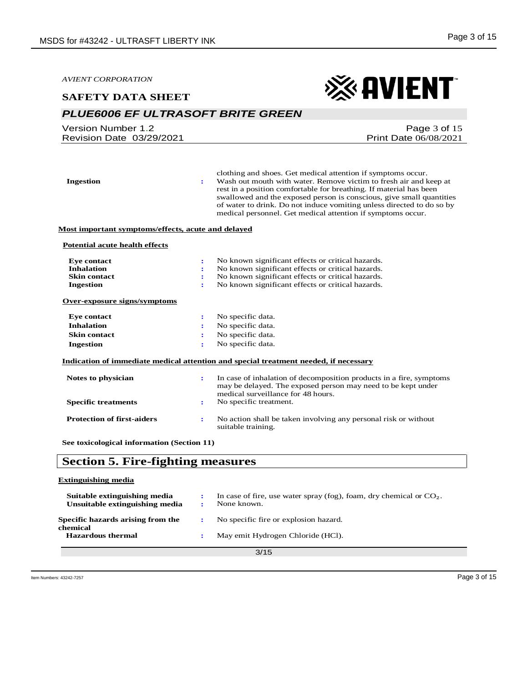※AVIENT

*AVIENT CORPORATION*

#### **SAFETY DATA SHEET**

## *PLUE6006 EF ULTRASOFT BRITE GREEN*

| Version Number 1.2       | Page $3$ of $15$             |
|--------------------------|------------------------------|
| Revision Date 03/29/2021 | <b>Print Date 06/08/2021</b> |
|                          |                              |

| <b>Ingestion</b>                                   | ÷                    | clothing and shoes. Get medical attention if symptoms occur.<br>Wash out mouth with water. Remove victim to fresh air and keep at<br>rest in a position comfortable for breathing. If material has been<br>swallowed and the exposed person is conscious, give small quantities<br>of water to drink. Do not induce vomiting unless directed to do so by<br>medical personnel. Get medical attention if symptoms occur. |
|----------------------------------------------------|----------------------|-------------------------------------------------------------------------------------------------------------------------------------------------------------------------------------------------------------------------------------------------------------------------------------------------------------------------------------------------------------------------------------------------------------------------|
| Most important symptoms/effects, acute and delayed |                      |                                                                                                                                                                                                                                                                                                                                                                                                                         |
| <b>Potential acute health effects</b>              |                      |                                                                                                                                                                                                                                                                                                                                                                                                                         |
| <b>Eye contact</b>                                 | $\ddot{\phantom{a}}$ | No known significant effects or critical hazards.                                                                                                                                                                                                                                                                                                                                                                       |
| <b>Inhalation</b>                                  |                      | No known significant effects or critical hazards.                                                                                                                                                                                                                                                                                                                                                                       |
| <b>Skin contact</b>                                | ÷                    | No known significant effects or critical hazards.                                                                                                                                                                                                                                                                                                                                                                       |
| <b>Ingestion</b>                                   |                      | No known significant effects or critical hazards.                                                                                                                                                                                                                                                                                                                                                                       |
| Over-exposure signs/symptoms                       |                      |                                                                                                                                                                                                                                                                                                                                                                                                                         |
| <b>Eye contact</b>                                 | ÷                    | No specific data.                                                                                                                                                                                                                                                                                                                                                                                                       |
| <b>Inhalation</b>                                  |                      | No specific data.                                                                                                                                                                                                                                                                                                                                                                                                       |
| <b>Skin contact</b>                                | ÷                    | No specific data.                                                                                                                                                                                                                                                                                                                                                                                                       |
| <b>Ingestion</b>                                   | ÷                    | No specific data.                                                                                                                                                                                                                                                                                                                                                                                                       |
|                                                    |                      | Indication of immediate medical attention and special treatment needed, if necessary                                                                                                                                                                                                                                                                                                                                    |
| Notes to physician                                 | $\ddot{\phantom{a}}$ | In case of inhalation of decomposition products in a fire, symptoms<br>may be delayed. The exposed person may need to be kept under<br>medical surveillance for 48 hours.                                                                                                                                                                                                                                               |
| <b>Specific treatments</b>                         | ÷                    | No specific treatment.                                                                                                                                                                                                                                                                                                                                                                                                  |
| <b>Protection of first-aiders</b>                  | ÷                    | No action shall be taken involving any personal risk or without<br>suitable training.                                                                                                                                                                                                                                                                                                                                   |
| See toxicological information (Section 11)         |                      |                                                                                                                                                                                                                                                                                                                                                                                                                         |

## **Section 5. Fire-fighting measures**

#### **Extinguishing media**

| Suitable extinguishing media<br>Unsuitable extinguishing media |  | In case of fire, use water spray (fog), foam, dry chemical or $CO2$ .<br>None known. |
|----------------------------------------------------------------|--|--------------------------------------------------------------------------------------|
| Specific hazards arising from the<br>chemical                  |  | No specific fire or explosion hazard.                                                |
| <b>Hazardous thermal</b>                                       |  | May emit Hydrogen Chloride (HCl).                                                    |
| 3/15                                                           |  |                                                                                      |

3/15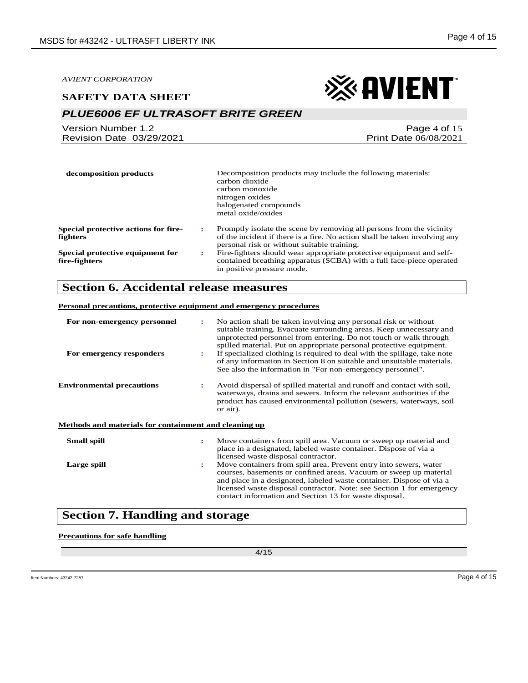#### **SAFETY DATA SHEET**

## *PLUE6006 EF ULTRASOFT BRITE GREEN*

| Version Number 1.2       | Page 4 of 15                 |
|--------------------------|------------------------------|
| Revision Date 03/29/2021 | <b>Print Date 06/08/2021</b> |

| decomposition products                                  |   | Decomposition products may include the following materials:<br>carbon dioxide<br>carbon monoxide<br>nitrogen oxides<br>halogenated compounds<br>metal oxide/oxides                                |
|---------------------------------------------------------|---|---------------------------------------------------------------------------------------------------------------------------------------------------------------------------------------------------|
| <b>Special protective actions for fire-</b><br>fighters |   | Promptly isolate the scene by removing all persons from the vicinity<br>of the incident if there is a fire. No action shall be taken involving any<br>personal risk or without suitable training. |
| Special protective equipment for<br>fire-fighters       | ÷ | Fire-fighters should wear appropriate protective equipment and self-<br>contained breathing apparatus (SCBA) with a full face-piece operated<br>in positive pressure mode.                        |

### **Section 6. Accidental release measures**

#### **Personal precautions, protective equipment and emergency procedures**

| For non-emergency personnel<br>For emergency responders | $\ddot{\phantom{a}}$<br>÷ | No action shall be taken involving any personal risk or without<br>suitable training. Evacuate surrounding areas. Keep unnecessary and<br>unprotected personnel from entering. Do not touch or walk through<br>spilled material. Put on appropriate personal protective equipment.<br>If specialized clothing is required to deal with the spillage, take note<br>of any information in Section 8 on suitable and unsuitable materials.<br>See also the information in "For non-emergency personnel". |
|---------------------------------------------------------|---------------------------|-------------------------------------------------------------------------------------------------------------------------------------------------------------------------------------------------------------------------------------------------------------------------------------------------------------------------------------------------------------------------------------------------------------------------------------------------------------------------------------------------------|
| <b>Environmental precautions</b>                        | $\mathbf{r}$              | Avoid dispersal of spilled material and runoff and contact with soil,<br>waterways, drains and sewers. Inform the relevant authorities if the<br>product has caused environmental pollution (sewers, waterways, soil<br>or air).                                                                                                                                                                                                                                                                      |
| Methods and materials for containment and cleaning up   |                           |                                                                                                                                                                                                                                                                                                                                                                                                                                                                                                       |
| <b>Small spill</b>                                      |                           | Move containers from spill area. Vacuum or sweep up material and<br>place in a designated, labeled waste container. Dispose of via a<br>licensed waste disposal contractor.                                                                                                                                                                                                                                                                                                                           |
| Large spill                                             | $\ddot{\phantom{a}}$      | Move containers from spill area. Prevent entry into sewers, water<br>courses, basements or confined areas. Vacuum or sweep up material<br>and place in a designated, labeled waste container. Dispose of via a<br>licensed waste disposal contractor. Note: see Section 1 for emergency<br>contact information and Section 13 for waste disposal.                                                                                                                                                     |

## **Section 7. Handling and storage**

#### **Precautions for safe handling**

4/15

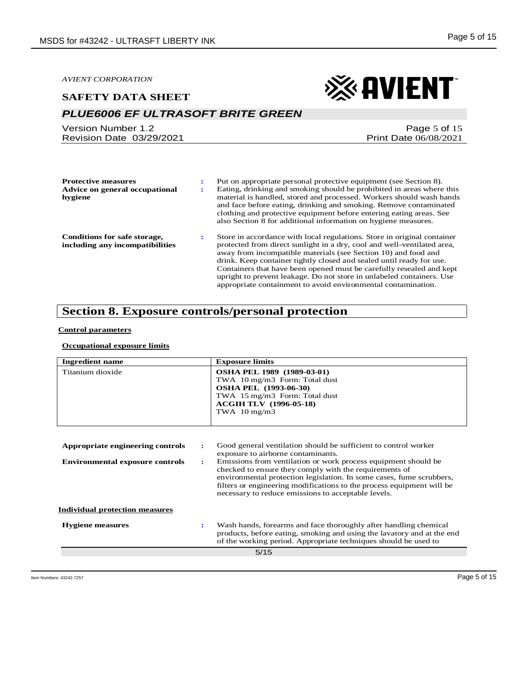#### **SAFETY DATA SHEET**



## *PLUE6006 EF ULTRASOFT BRITE GREEN*

Version Number 1.2 Revision Date 03/29/2021

Page 5 of 15 Print Date 06/08/2021

| <b>Protective measures</b><br>Advice on general occupational<br>hygiene | Put on appropriate personal protective equipment (see Section 8).<br>Eating, drinking and smoking should be prohibited in areas where this<br>material is handled, stored and processed. Workers should wash hands<br>and face before eating, drinking and smoking. Remove contaminated<br>clothing and protective equipment before entering eating areas. See<br>also Section 8 for additional information on hygiene measures.                                                                               |
|-------------------------------------------------------------------------|----------------------------------------------------------------------------------------------------------------------------------------------------------------------------------------------------------------------------------------------------------------------------------------------------------------------------------------------------------------------------------------------------------------------------------------------------------------------------------------------------------------|
| <b>Conditions for safe storage,</b><br>including any incompatibilities  | Store in accordance with local regulations. Store in original container<br>protected from direct sunlight in a dry, cool and well-ventilated area,<br>away from incompatible materials (see Section 10) and food and<br>drink. Keep container tightly closed and sealed until ready for use.<br>Containers that have been opened must be carefully resealed and kept<br>upright to prevent leakage. Do not store in unlabeled containers. Use<br>appropriate containment to avoid environmental contamination. |

## **Section 8. Exposure controls/personal protection**

#### **Control parameters**

#### **Occupational exposure limits**

| <b>Ingredient name</b>                 |                | <b>Exposure limits</b>                                                                                                                                                                                                                                                                                                           |
|----------------------------------------|----------------|----------------------------------------------------------------------------------------------------------------------------------------------------------------------------------------------------------------------------------------------------------------------------------------------------------------------------------|
| Titanium dioxide                       |                | <b>OSHA PEL 1989 (1989-03-01)</b><br>TWA 10 mg/m3 Form: Total dust                                                                                                                                                                                                                                                               |
|                                        |                | <b>OSHA PEL (1993-06-30)</b>                                                                                                                                                                                                                                                                                                     |
|                                        |                | TWA 15 mg/m3 Form: Total dust                                                                                                                                                                                                                                                                                                    |
|                                        |                | <b>ACGIH TLV</b> (1996-05-18)                                                                                                                                                                                                                                                                                                    |
|                                        |                | TWA $10 \text{ mg/m}$ 3                                                                                                                                                                                                                                                                                                          |
|                                        |                |                                                                                                                                                                                                                                                                                                                                  |
| Appropriate engineering controls       | ÷              | Good general ventilation should be sufficient to control worker                                                                                                                                                                                                                                                                  |
|                                        |                | exposure to airborne contaminants.                                                                                                                                                                                                                                                                                               |
| <b>Environmental exposure controls</b> | $\ddot{\cdot}$ | Emissions from ventilation or work process equipment should be<br>checked to ensure they comply with the requirements of<br>environmental protection legislation. In some cases, fume scrubbers,<br>filters or engineering modifications to the process equipment will be<br>necessary to reduce emissions to acceptable levels. |
| <b>Individual protection measures</b>  |                |                                                                                                                                                                                                                                                                                                                                  |
| <b>Hygiene</b> measures                |                | Wash hands, forearms and face thoroughly after handling chemical<br>products, before eating, smoking and using the lavatory and at the end<br>of the working period. Appropriate techniques should be used to                                                                                                                    |
|                                        |                | 5/15                                                                                                                                                                                                                                                                                                                             |
|                                        |                |                                                                                                                                                                                                                                                                                                                                  |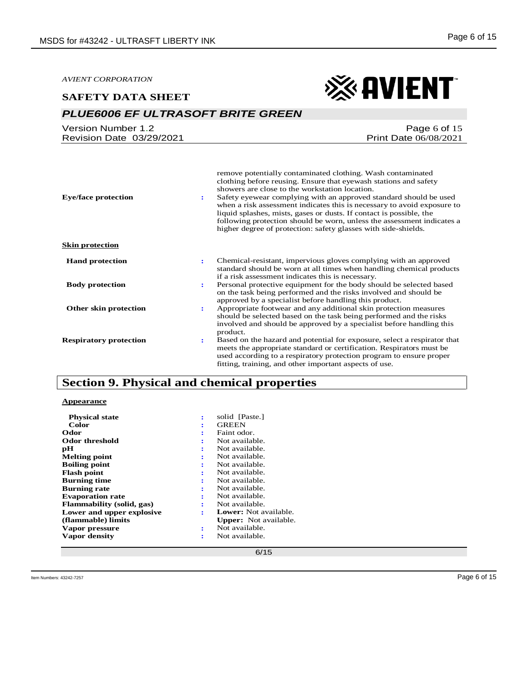## *PLUE6006 EF ULTRASOFT BRITE GREEN*

| Version Number 1.2       | Page 6 of $15$               |
|--------------------------|------------------------------|
| Revision Date 03/29/2021 | <b>Print Date 06/08/2021</b> |

| <b>Eye/face protection</b>    | remove potentially contaminated clothing. Wash contaminated<br>clothing before reusing. Ensure that eyewash stations and safety<br>showers are close to the workstation location.<br>Safety eyewear complying with an approved standard should be used<br>÷<br>when a risk assessment indicates this is necessary to avoid exposure to<br>liquid splashes, mists, gases or dusts. If contact is possible, the<br>following protection should be worn, unless the assessment indicates a<br>higher degree of protection: safety glasses with side-shields. |
|-------------------------------|-----------------------------------------------------------------------------------------------------------------------------------------------------------------------------------------------------------------------------------------------------------------------------------------------------------------------------------------------------------------------------------------------------------------------------------------------------------------------------------------------------------------------------------------------------------|
| <b>Skin protection</b>        |                                                                                                                                                                                                                                                                                                                                                                                                                                                                                                                                                           |
| <b>Hand protection</b>        | Chemical-resistant, impervious gloves complying with an approved<br>÷<br>standard should be worn at all times when handling chemical products<br>if a risk assessment indicates this is necessary.                                                                                                                                                                                                                                                                                                                                                        |
| <b>Body protection</b>        | Personal protective equipment for the body should be selected based<br>÷<br>on the task being performed and the risks involved and should be<br>approved by a specialist before handling this product.                                                                                                                                                                                                                                                                                                                                                    |
| Other skin protection         | Appropriate footwear and any additional skin protection measures<br>÷<br>should be selected based on the task being performed and the risks<br>involved and should be approved by a specialist before handling this<br>product.                                                                                                                                                                                                                                                                                                                           |
| <b>Respiratory protection</b> | Based on the hazard and potential for exposure, select a respirator that<br>٠.<br>meets the appropriate standard or certification. Respirators must be<br>used according to a respiratory protection program to ensure proper<br>fitting, training, and other important aspects of use.                                                                                                                                                                                                                                                                   |

## **Section 9. Physical and chemical properties**

#### **Appearance**

| <b>Physical state</b>     | ÷ | solid [Paste.]               |
|---------------------------|---|------------------------------|
| Color                     | ÷ | <b>GREEN</b>                 |
| Odor                      | ÷ | Faint odor.                  |
| Odor threshold            | ÷ | Not available.               |
| рH                        | ÷ | Not available.               |
| <b>Melting point</b>      | ÷ | Not available.               |
| <b>Boiling point</b>      | ÷ | Not available.               |
| <b>Flash point</b>        | ÷ | Not available.               |
| <b>Burning time</b>       | ÷ | Not available.               |
| <b>Burning rate</b>       | ÷ | Not available.               |
| <b>Evaporation rate</b>   | ÷ | Not available.               |
| Flammability (solid, gas) | ÷ | Not available.               |
| Lower and upper explosive | ÷ | <b>Lower:</b> Not available. |
| (flammable) limits        |   | <b>Upper:</b> Not available. |
| Vapor pressure            | ÷ | Not available.               |
| Vapor density             | ÷ | Not available.               |
|                           |   |                              |

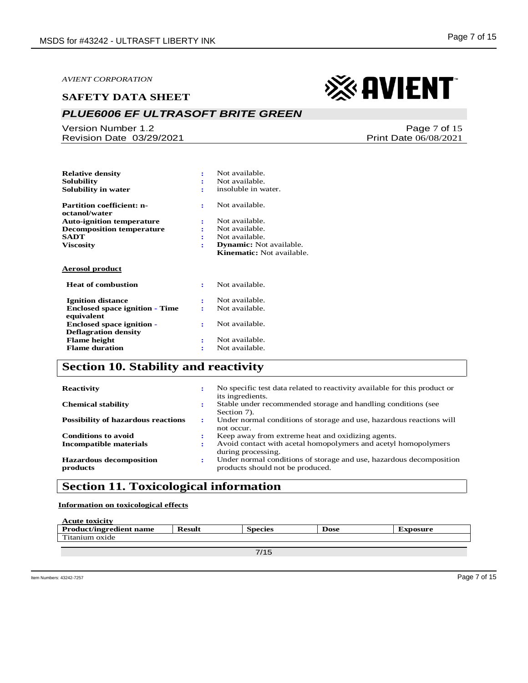#### **SAFETY DATA SHEET**

## *PLUE6006 EF ULTRASOFT BRITE GREEN*

Version Number 1.2 Revision Date 03/29/2021

**Solubility :** Not available.<br> **Solubility in water**  $\qquad \qquad$  : insoluble in water. **Solubility in water. : Partition coefficient: noctanol/water :** Not available. **Auto-ignition temperature :** Not available. **Decomposition temperature**  $\qquad$  **:**  $\qquad$  **:**  $\qquad$ **:** Not available. **Viscosity : Dynamic:** Not available. **Kinematic:** Not available. **Aerosol product Heat of combustion :** Not available. **Ignition distance :** Not available.  **Enclosed space ignition - Time equivalent :** Not available.  **Enclosed space ignition - Deflagration density :** Not available. **Flame height is a Flame height is a Flame duration i Not available. Flame duration Flame duration :** 

**Relative density :** Not available.

## **Section 10. Stability and reactivity**

| <b>Reactivity</b>                          | ÷ | No specific test data related to reactivity available for this product or<br>its ingredients.           |
|--------------------------------------------|---|---------------------------------------------------------------------------------------------------------|
| <b>Chemical stability</b>                  |   | Stable under recommended storage and handling conditions (see<br>Section 7).                            |
| <b>Possibility of hazardous reactions</b>  | ÷ | Under normal conditions of storage and use, hazardous reactions will<br>not occur.                      |
| <b>Conditions to avoid</b>                 |   | Keep away from extreme heat and oxidizing agents.                                                       |
| Incompatible materials                     | : | Avoid contact with acetal homopolymers and acetyl homopolymers<br>during processing.                    |
| <b>Hazardous decomposition</b><br>products | ÷ | Under normal conditions of storage and use, hazardous decomposition<br>products should not be produced. |

## **Section 11. Toxicological information**

**Information on toxicological effects**

| <b>Acute toxicity</b>          |               |                |             |          |
|--------------------------------|---------------|----------------|-------------|----------|
| <b>Product/ingredient name</b> | <b>Result</b> | <b>Species</b> | <b>Dose</b> | Exposure |
| Titanium oxide                 |               |                |             |          |
|                                |               |                |             |          |

7/15

Print Date 06/08/2021

# ※ AVIENT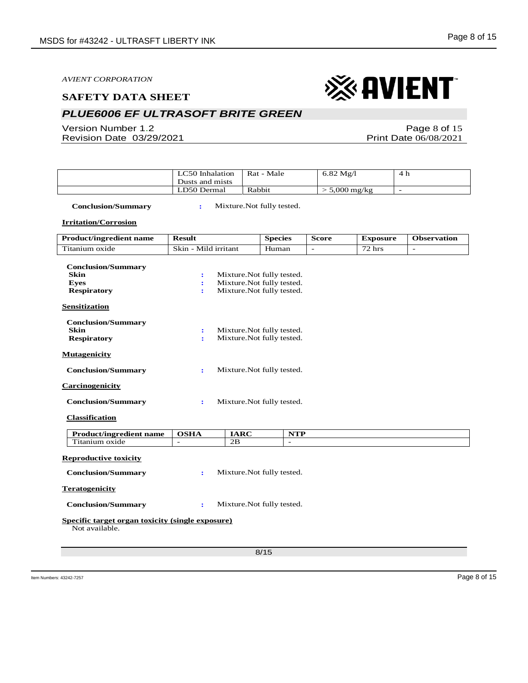## *PLUE6006 EF ULTRASOFT BRITE GREEN*

Version Number 1.2 Revision Date 03/29/2021

Page 8 of 15 Print Date 06/08/2021

| LC50 Inhalation<br>Dusts and mists | Rat - Male | $6.82 \text{ Mg}/l$      | $\sqrt{ }$<br>4 N |
|------------------------------------|------------|--------------------------|-------------------|
| LD50 Dermal                        | Rabbit     | $5,000 \,\mathrm{mg/kg}$ |                   |

 **Conclusion/Summary :** Mixture.Not fully tested.

**Irritation/Corrosion**

| <b>Product/ingredient name</b>                                     | <b>Result</b>                |             | <b>Species</b>             | <b>Score</b> | <b>Exposure</b> | <b>Observation</b> |
|--------------------------------------------------------------------|------------------------------|-------------|----------------------------|--------------|-----------------|--------------------|
| Titanium oxide                                                     | Skin - Mild irritant         |             | Human                      |              | $72$ hrs        | $\overline{a}$     |
| <b>Conclusion/Summary</b>                                          |                              |             |                            |              |                 |                    |
| <b>Skin</b>                                                        | $\ddot{\cdot}$               |             | Mixture. Not fully tested. |              |                 |                    |
| <b>Eves</b>                                                        | $\ddot{\cdot}$               |             | Mixture. Not fully tested. |              |                 |                    |
| <b>Respiratory</b>                                                 | ÷                            |             | Mixture. Not fully tested. |              |                 |                    |
| <b>Sensitization</b>                                               |                              |             |                            |              |                 |                    |
| <b>Conclusion/Summary</b>                                          |                              |             |                            |              |                 |                    |
| <b>Skin</b>                                                        | ÷                            |             | Mixture. Not fully tested. |              |                 |                    |
| <b>Respiratory</b>                                                 | ÷                            |             | Mixture.Not fully tested.  |              |                 |                    |
| <b>Mutagenicity</b>                                                |                              |             |                            |              |                 |                    |
| <b>Conclusion/Summary</b>                                          | ÷                            |             | Mixture. Not fully tested. |              |                 |                    |
| <b>Carcinogenicity</b>                                             |                              |             |                            |              |                 |                    |
| <b>Conclusion/Summary</b>                                          | ÷                            |             | Mixture. Not fully tested. |              |                 |                    |
| <b>Classification</b>                                              |                              |             |                            |              |                 |                    |
| <b>Product/ingredient name</b>                                     | <b>OSHA</b>                  | <b>IARC</b> | <b>NTP</b>                 |              |                 |                    |
| Titanium oxide                                                     | $\qquad \qquad \blacksquare$ | 2B          | $\overline{\phantom{m}}$   |              |                 |                    |
| <b>Reproductive toxicity</b>                                       |                              |             |                            |              |                 |                    |
| <b>Conclusion/Summary</b>                                          | ÷                            |             | Mixture. Not fully tested. |              |                 |                    |
| <b>Teratogenicity</b>                                              |                              |             |                            |              |                 |                    |
| <b>Conclusion/Summary</b>                                          | ÷                            |             | Mixture. Not fully tested. |              |                 |                    |
| Specific target organ toxicity (single exposure)<br>Not available. |                              |             |                            |              |                 |                    |
|                                                                    |                              |             | 8/15                       |              |                 |                    |
|                                                                    |                              |             |                            |              |                 |                    |

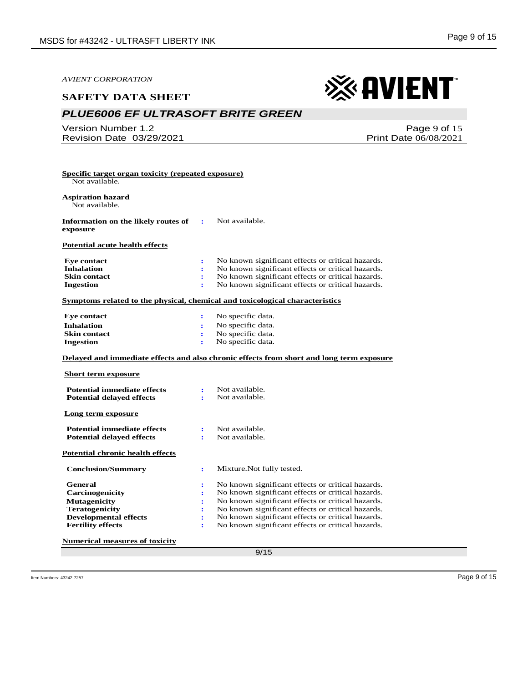#### **SAFETY DATA SHEET**

## *PLUE6006 EF ULTRASOFT BRITE GREEN*

Version Number 1.2 Revision Date 03/29/2021

Page 9 of 15 Print Date 06/08/2021

※ AVIENT

| <b>Aspiration hazard</b><br>Not available.                                                                                                                                                      |                      |                                                                                                               |
|-------------------------------------------------------------------------------------------------------------------------------------------------------------------------------------------------|----------------------|---------------------------------------------------------------------------------------------------------------|
|                                                                                                                                                                                                 |                      |                                                                                                               |
| Information on the likely routes of<br>exposure                                                                                                                                                 | $\mathbf{r}$         | Not available.                                                                                                |
| <b>Potential acute health effects</b>                                                                                                                                                           |                      |                                                                                                               |
| <b>Eye contact</b>                                                                                                                                                                              | ÷                    | No known significant effects or critical hazards.                                                             |
| <b>Inhalation</b>                                                                                                                                                                               | ÷                    | No known significant effects or critical hazards.                                                             |
| <b>Skin contact</b>                                                                                                                                                                             | ÷                    | No known significant effects or critical hazards.                                                             |
| <b>Ingestion</b>                                                                                                                                                                                | ÷                    | No known significant effects or critical hazards.                                                             |
|                                                                                                                                                                                                 |                      | Symptoms related to the physical, chemical and toxicological characteristics                                  |
| <b>Eye contact</b>                                                                                                                                                                              | ÷                    | No specific data.                                                                                             |
| <b>Inhalation</b>                                                                                                                                                                               | $\ddot{\phantom{a}}$ | No specific data.                                                                                             |
|                                                                                                                                                                                                 |                      |                                                                                                               |
|                                                                                                                                                                                                 | ÷                    | No specific data.                                                                                             |
|                                                                                                                                                                                                 | ÷                    | No specific data.<br>Delayed and immediate effects and also chronic effects from short and long term exposure |
|                                                                                                                                                                                                 |                      |                                                                                                               |
| <b>Potential immediate effects</b><br><b>Potential delayed effects</b>                                                                                                                          | $\ddot{\cdot}$<br>÷  | Not available.<br>Not available.                                                                              |
|                                                                                                                                                                                                 |                      |                                                                                                               |
| <b>Potential immediate effects</b>                                                                                                                                                              | $\mathbf{r}$         | Not available.                                                                                                |
| <b>Potential delayed effects</b>                                                                                                                                                                | ÷                    | Not available.                                                                                                |
|                                                                                                                                                                                                 |                      |                                                                                                               |
| <b>Conclusion/Summary</b>                                                                                                                                                                       | ÷                    | Mixture. Not fully tested.                                                                                    |
| General                                                                                                                                                                                         | ÷                    | No known significant effects or critical hazards.                                                             |
| <b>Carcinogenicity</b>                                                                                                                                                                          | ÷                    | No known significant effects or critical hazards.                                                             |
| <b>Mutagenicity</b>                                                                                                                                                                             | ÷                    | No known significant effects or critical hazards.                                                             |
| <b>Skin contact</b><br><b>Ingestion</b><br><b>Short term exposure</b><br>Long term exposure<br><b>Potential chronic health effects</b><br><b>Teratogenicity</b><br><b>Developmental effects</b> | ÷                    | No known significant effects or critical hazards.<br>No known significant effects or critical hazards.        |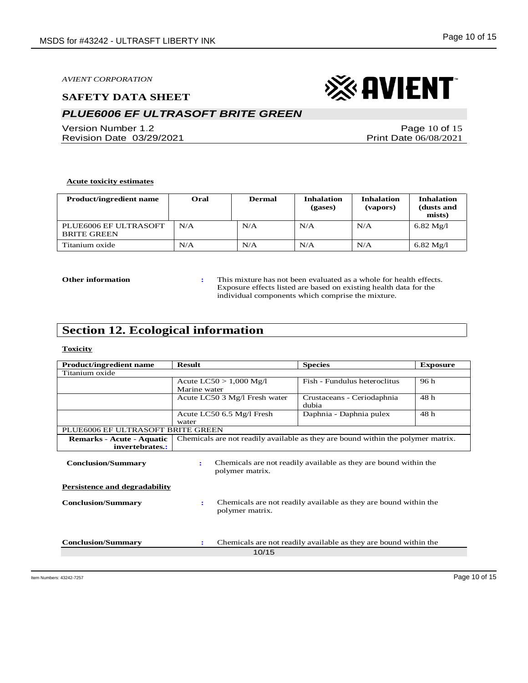## *PLUE6006 EF ULTRASOFT BRITE GREEN*

Version Number 1.2 Revision Date 03/29/2021

Page 10 of 15 Print Date 06/08/2021

※ AVIENT

#### **Acute toxicity estimates**

| <b>Product/ingredient name</b>              | Oral | <b>Dermal</b> | <b>Inhalation</b><br>(gases) | <b>Inhalation</b><br>(vapors) | <b>Inhalation</b><br>(dusts and<br>mists) |
|---------------------------------------------|------|---------------|------------------------------|-------------------------------|-------------------------------------------|
| PLUE6006 EF ULTRASOFT<br><b>BRITE GREEN</b> | N/A  | N/A           | N/A                          | N/A                           | $6.82 \text{ Mg}/l$                       |
| Titanium oxide                              | N/A  | N/A           | N/A                          | N/A                           | $6.82 \text{ Mg}/l$                       |

**Other information :** This mixture has not been evaluated as a whole for health effects. Exposure effects listed are based on existing health data for the individual components which comprise the mixture.

## **Section 12. Ecological information**

#### **Toxicity**

| <b>Product/ingredient name</b>                                    | <b>Result</b>                                                                            | <b>Species</b>                                                   | <b>Exposure</b> |  |  |
|-------------------------------------------------------------------|------------------------------------------------------------------------------------------|------------------------------------------------------------------|-----------------|--|--|
| Titanium oxide                                                    |                                                                                          |                                                                  |                 |  |  |
|                                                                   | Acute $LC50 > 1,000$ Mg/l                                                                | Fish - Fundulus heteroclitus                                     | 96 h            |  |  |
|                                                                   | Marine water                                                                             |                                                                  |                 |  |  |
|                                                                   | Acute LC50 3 Mg/l Fresh water                                                            | Crustaceans - Ceriodaphnia<br>dubia                              | 48 h            |  |  |
|                                                                   | Acute LC50 6.5 Mg/l Fresh<br>water                                                       | Daphnia - Daphnia pulex                                          | 48 h            |  |  |
| PLUE6006 EF ULTRASOFT BRITE GREEN                                 |                                                                                          |                                                                  |                 |  |  |
| <b>Remarks - Acute - Aquatic</b>                                  | Chemicals are not readily available as they are bound within the polymer matrix.         |                                                                  |                 |  |  |
| invertebrates.:                                                   |                                                                                          |                                                                  |                 |  |  |
| <b>Conclusion/Summary</b>                                         | Chemicals are not readily available as they are bound within the<br>÷<br>polymer matrix. |                                                                  |                 |  |  |
| <b>Persistence and degradability</b><br><b>Conclusion/Summary</b> | Chemicals are not readily available as they are bound within the<br>÷<br>polymer matrix. |                                                                  |                 |  |  |
| <b>Conclusion/Summary</b>                                         | ÷<br>10/15                                                                               | Chemicals are not readily available as they are bound within the |                 |  |  |
|                                                                   |                                                                                          |                                                                  |                 |  |  |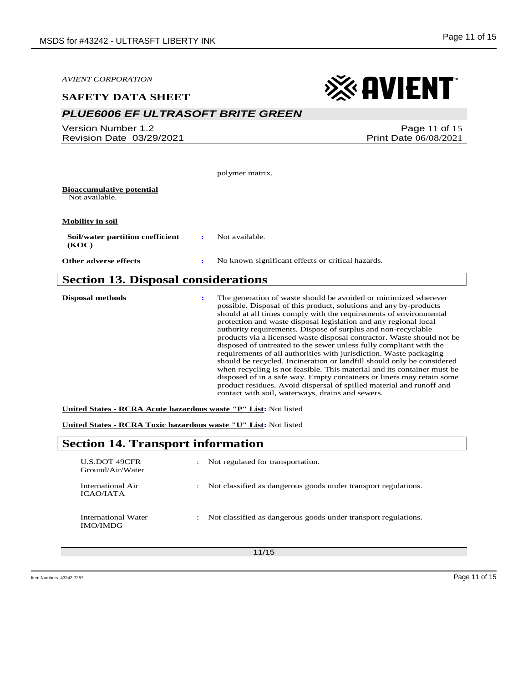| <b>AVIENT CORPORATION</b>                          |   |                                                   | $\otimes$ avient                                                                                                                                                                                                                                                                                                                                                                                                                                                                               |
|----------------------------------------------------|---|---------------------------------------------------|------------------------------------------------------------------------------------------------------------------------------------------------------------------------------------------------------------------------------------------------------------------------------------------------------------------------------------------------------------------------------------------------------------------------------------------------------------------------------------------------|
| <b>SAFETY DATA SHEET</b>                           |   |                                                   |                                                                                                                                                                                                                                                                                                                                                                                                                                                                                                |
| <b>PLUE6006 EF ULTRASOFT BRITE GREEN</b>           |   |                                                   |                                                                                                                                                                                                                                                                                                                                                                                                                                                                                                |
| Version Number 1.2<br>Revision Date 03/29/2021     |   |                                                   | Page 11 of 15<br>Print Date 06/08/2021                                                                                                                                                                                                                                                                                                                                                                                                                                                         |
|                                                    |   | polymer matrix.                                   |                                                                                                                                                                                                                                                                                                                                                                                                                                                                                                |
| <b>Bioaccumulative potential</b><br>Not available. |   |                                                   |                                                                                                                                                                                                                                                                                                                                                                                                                                                                                                |
| <b>Mobility in soil</b>                            |   |                                                   |                                                                                                                                                                                                                                                                                                                                                                                                                                                                                                |
| Soil/water partition coefficient<br>(KOC)          | ÷ | Not available.                                    |                                                                                                                                                                                                                                                                                                                                                                                                                                                                                                |
| <b>Other adverse effects</b>                       |   | No known significant effects or critical hazards. |                                                                                                                                                                                                                                                                                                                                                                                                                                                                                                |
| <b>Section 13. Disposal considerations</b>         |   |                                                   |                                                                                                                                                                                                                                                                                                                                                                                                                                                                                                |
| <b>Disposal methods</b>                            |   |                                                   | The generation of waste should be avoided or minimized wherever<br>possible. Disposal of this product, solutions and any by-products<br>should at all times comply with the requirements of environmental<br>protection and waste disposal legislation and any regional local<br>authority requirements. Dispose of surplus and non-recyclable<br>products via a licensed waste disposal contractor. Waste should not be<br>disposed of untreated to the sewer unless fully compliant with the |

requirements of all authorities with jurisdiction. Waste packaging should be recycled. Incineration or landfill should only be considered when recycling is not feasible. This material and its container must be disposed of in a safe way. Empty containers or liners may retain some product residues. Avoid dispersal of spilled material and runoff and contact with soil, waterways, drains and sewers.

**United States - RCRA Acute hazardous waste "P" List:** Not listed

**United States - RCRA Toxic hazardous waste "U" List:** Not listed

## **Section 14. Transport information**

| U.S.DOT 49CFR<br>Ground/Air/Water      | ÷                    | Not regulated for transportation.                              |
|----------------------------------------|----------------------|----------------------------------------------------------------|
| International Air<br>ICAO/IATA         | $\ddot{\phantom{0}}$ | Not classified as dangerous goods under transport regulations. |
| International Water<br><b>IMO/IMDG</b> | ÷                    | Not classified as dangerous goods under transport regulations. |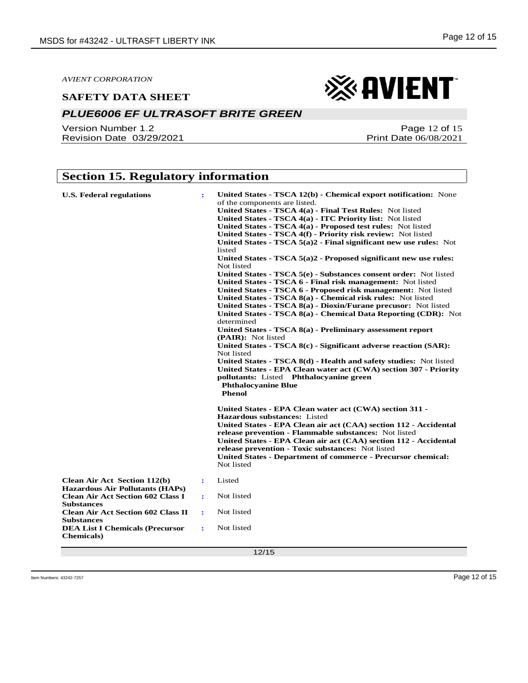#### *PLUE6006 EF ULTRASOFT BRITE GREEN*

Version Number 1.2 Revision Date 03/29/2021

## **Section 15. Regulatory information**

| <b>U.S. Federal regulations</b>                                               |                      | United States - TSCA 12(b) - Chemical export notification: None<br>of the components are listed.<br>United States - TSCA 4(a) - Final Test Rules: Not listed<br>United States - TSCA 4(a) - ITC Priority list: Not listed<br>United States - TSCA 4(a) - Proposed test rules: Not listed<br>United States - TSCA 4(f) - Priority risk review: Not listed<br>United States - TSCA $5(a)2$ - Final significant new use rules: Not<br>listed<br>United States - TSCA $5(a)2$ - Proposed significant new use rules:<br>Not listed<br>United States - TSCA 5(e) - Substances consent order: Not listed<br>United States - TSCA 6 - Final risk management: Not listed<br>United States - TSCA 6 - Proposed risk management: Not listed<br>United States - TSCA 8(a) - Chemical risk rules: Not listed<br>United States - TSCA 8(a) - Dioxin/Furane precusor: Not listed<br>United States - TSCA 8(a) - Chemical Data Reporting (CDR): Not<br>determined<br>United States - TSCA 8(a) - Preliminary assessment report<br>(PAIR): Not listed<br>United States - TSCA 8(c) - Significant adverse reaction (SAR):<br>Not listed<br>United States - TSCA 8(d) - Health and safety studies: Not listed<br>United States - EPA Clean water act (CWA) section 307 - Priority<br>pollutants: Listed Phthalocyanine green<br><b>Phthalocyanine Blue</b><br><b>Phenol</b> |
|-------------------------------------------------------------------------------|----------------------|----------------------------------------------------------------------------------------------------------------------------------------------------------------------------------------------------------------------------------------------------------------------------------------------------------------------------------------------------------------------------------------------------------------------------------------------------------------------------------------------------------------------------------------------------------------------------------------------------------------------------------------------------------------------------------------------------------------------------------------------------------------------------------------------------------------------------------------------------------------------------------------------------------------------------------------------------------------------------------------------------------------------------------------------------------------------------------------------------------------------------------------------------------------------------------------------------------------------------------------------------------------------------------------------------------------------------------------------------------|
|                                                                               |                      | United States - EPA Clean water act (CWA) section 311 -<br><b>Hazardous substances: Listed</b><br>United States - EPA Clean air act (CAA) section 112 - Accidental<br>release prevention - Flammable substances: Not listed<br>United States - EPA Clean air act (CAA) section 112 - Accidental<br>release prevention - Toxic substances: Not listed<br><b>United States - Department of commerce - Precursor chemical:</b><br>Not listed                                                                                                                                                                                                                                                                                                                                                                                                                                                                                                                                                                                                                                                                                                                                                                                                                                                                                                                |
| <b>Clean Air Act Section 112(b)</b><br><b>Hazardous Air Pollutants (HAPs)</b> | $\ddot{\cdot}$       | Listed                                                                                                                                                                                                                                                                                                                                                                                                                                                                                                                                                                                                                                                                                                                                                                                                                                                                                                                                                                                                                                                                                                                                                                                                                                                                                                                                                   |
| <b>Clean Air Act Section 602 Class I</b><br><b>Substances</b>                 | ÷                    | Not listed                                                                                                                                                                                                                                                                                                                                                                                                                                                                                                                                                                                                                                                                                                                                                                                                                                                                                                                                                                                                                                                                                                                                                                                                                                                                                                                                               |
| <b>Clean Air Act Section 602 Class II</b><br><b>Substances</b>                | $\ddot{\phantom{a}}$ | Not listed                                                                                                                                                                                                                                                                                                                                                                                                                                                                                                                                                                                                                                                                                                                                                                                                                                                                                                                                                                                                                                                                                                                                                                                                                                                                                                                                               |
| <b>DEA List I Chemicals (Precursor</b><br><b>Chemicals</b> )                  | ÷                    | Not listed                                                                                                                                                                                                                                                                                                                                                                                                                                                                                                                                                                                                                                                                                                                                                                                                                                                                                                                                                                                                                                                                                                                                                                                                                                                                                                                                               |
|                                                                               |                      | 12/15                                                                                                                                                                                                                                                                                                                                                                                                                                                                                                                                                                                                                                                                                                                                                                                                                                                                                                                                                                                                                                                                                                                                                                                                                                                                                                                                                    |

Page 12 of 15 Print Date 06/08/2021

Item Numbers: 43242-7257 Page 12 of 15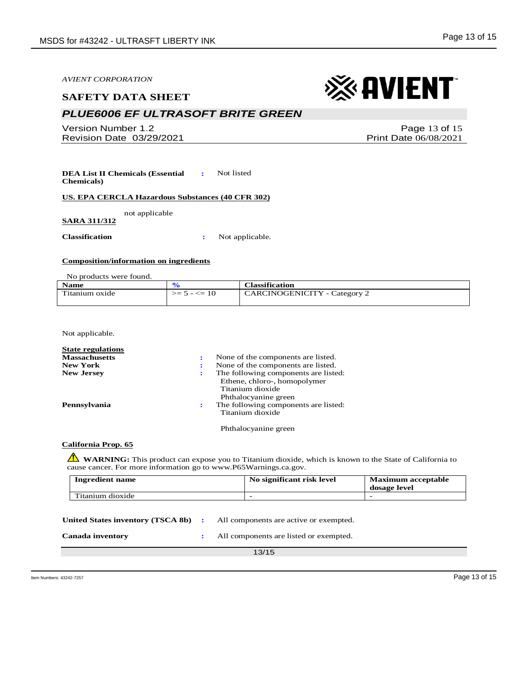#### **SAFETY DATA SHEET**

## *PLUE6006 EF ULTRASOFT BRITE GREEN*

Version Number 1.2 Revision Date 03/29/2021

**DEA List II Chemicals (Essential Chemicals) :** Not listed

**US. EPA CERCLA Hazardous Substances (40 CFR 302)**

not applicable

**SARA 311/312**

**Classification :** Not applicable.

#### **Composition/information on ingredients**

No products were found.

| <b>Name</b>                      |                 | <b>Classification</b>               |
|----------------------------------|-----------------|-------------------------------------|
| $\mathbf{m}$ .<br>litanium oxide | $>= 5 - \le 10$ | <b>CARCINOGENICITY</b> - Category 2 |
|                                  |                 |                                     |

Not applicable.

| <b>State regulations</b> |                                                                                                                  |
|--------------------------|------------------------------------------------------------------------------------------------------------------|
| <b>Massachusetts</b>     | None of the components are listed.                                                                               |
| <b>New York</b>          | None of the components are listed.                                                                               |
| <b>New Jersey</b>        | The following components are listed:<br>Ethene, chloro-, homopolymer<br>Titanium dioxide<br>Phthalocyanine green |
| Pennsylvania             | The following components are listed:<br>Titanium dioxide                                                         |

Phthalocyanine green

#### **California Prop. 65**

**WARNING**: This product can expose you to Titanium dioxide, which is known to the State of California to cause cancer. For more information go to www.P65Warnings.ca.gov.

| <b>Ingredient name</b>            |                  | No significant risk level              | <b>Maximum acceptable</b><br>dosage level |
|-----------------------------------|------------------|----------------------------------------|-------------------------------------------|
| Titanium dioxide                  |                  |                                        |                                           |
| United States inventory (TSCA 8b) | $\sim$ 100 $\pm$ | All components are active or exempted. |                                           |
| Canada inventory                  |                  | All components are listed or exempted. |                                           |

13/15

## Page 13 of 15 Print Date 06/08/2021

※ AVIENT

Item Numbers: 43242-7257 Page 13 of 15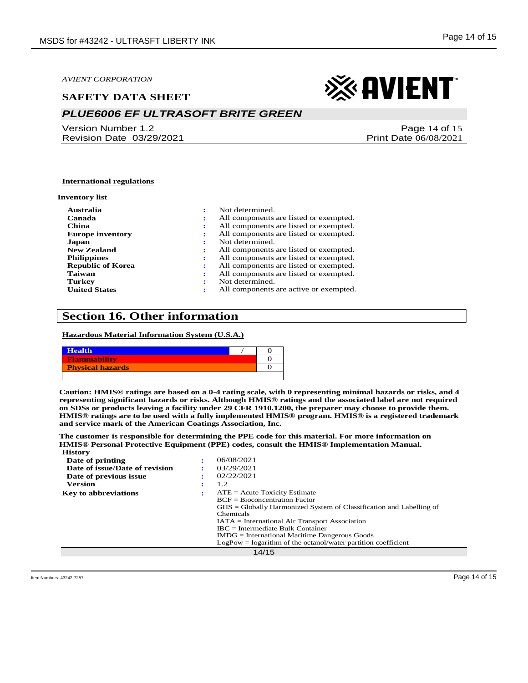#### **SAFETY DATA SHEET**

## *PLUE6006 EF ULTRASOFT BRITE GREEN*

Version Number 1.2 Revision Date 03/29/2021

# ※ AVIENT

Page 14 of 15 Print Date 06/08/2021

#### **International regulations**

#### **Inventory list**

| Australia<br>Canada<br>China<br><b>Europe inventory</b><br>Japan<br><b>New Zealand</b><br><b>Philippines</b><br><b>Republic of Korea</b><br>Taiwan | Not determined.<br>All components are listed or exempted.<br>All components are listed or exempted.<br>All components are listed or exempted.<br>Not determined.<br>All components are listed or exempted.<br>All components are listed or exempted.<br>All components are listed or exempted.<br>All components are listed or exempted. |
|----------------------------------------------------------------------------------------------------------------------------------------------------|------------------------------------------------------------------------------------------------------------------------------------------------------------------------------------------------------------------------------------------------------------------------------------------------------------------------------------------|
| <b>Turkey</b><br><b>United States</b>                                                                                                              | Not determined.<br>All components are active or exempted.                                                                                                                                                                                                                                                                                |

## **Section 16. Other information**

#### **Hazardous Material Information System (U.S.A.)**

| <b>Health</b>           |  |
|-------------------------|--|
| Flammability            |  |
| <b>Physical hazards</b> |  |
|                         |  |

**Caution: HMIS® ratings are based on a 0-4 rating scale, with 0 representing minimal hazards or risks, and 4 representing significant hazards or risks. Although HMIS® ratings and the associated label are not required on SDSs or products leaving a facility under 29 CFR 1910.1200, the preparer may choose to provide them. HMIS® ratings are to be used with a fully implemented HMIS® program. HMIS® is a registered trademark and service mark of the American Coatings Association, Inc.**

**The customer is responsible for determining the PPE code for this material. For more information on HMIS® Personal Protective Equipment (PPE) codes, consult the HMIS® Implementation Manual. History**

| Date of printing               | 06/08/2021                                                            |
|--------------------------------|-----------------------------------------------------------------------|
| Date of issue/Date of revision | 03/29/2021                                                            |
| Date of previous issue         | 02/22/2021                                                            |
| <b>Version</b>                 | 1.2                                                                   |
| <b>Key to abbreviations</b>    | $ATE = Acute Toxicity Estimate$                                       |
|                                | $BCF = Biocomcentration Factor$                                       |
|                                | $GHS = Globally Harmonized System of Classification and Labelling of$ |
|                                | Chemicals                                                             |
|                                | $IATA = International Air Transport Association$                      |
|                                | $\text{IRC}$ = Intermediate Bulk Container                            |
|                                | $IMDG = International\,$ Maritime Dangerous Goods                     |
|                                | $LogPow = logarithm$ of the octanol/water partition coefficient       |
|                                | 14/15                                                                 |
|                                |                                                                       |